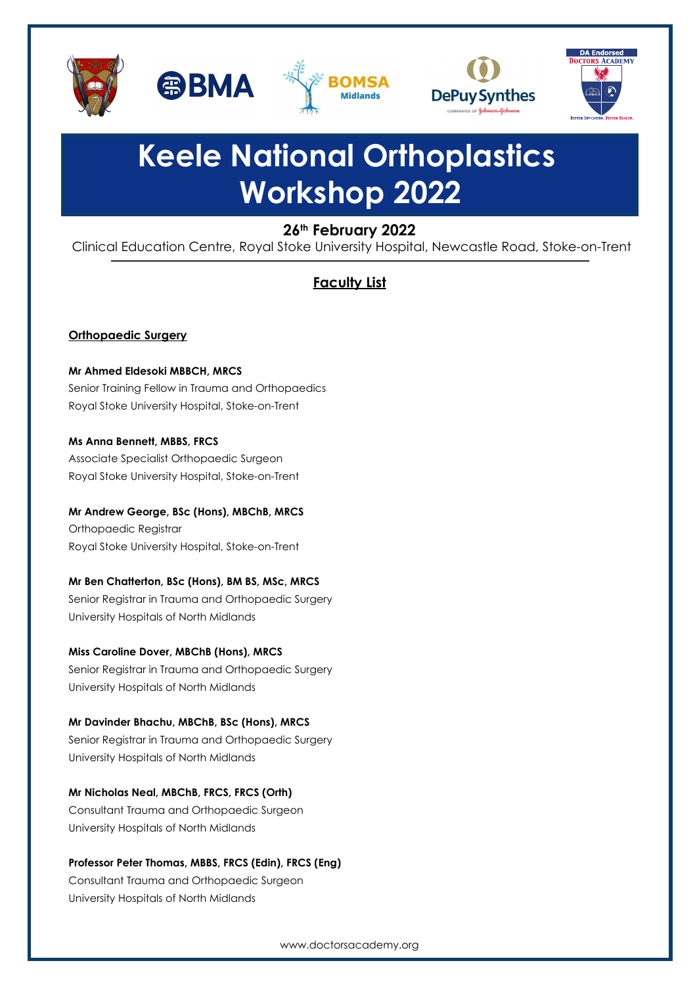



# **Keele National Orthoplastics Workshop 2022**

## **26th February 2022**

Clinical Education Centre, Royal Stoke University Hospital, Newcastle Road, Stoke-on-Trent

# **Faculty List**

### **Orthopaedic Surgery**

**Mr Ahmed Eldesoki MBBCH, MRCS**  Senior Training Fellow in Trauma and Orthopaedics Royal Stoke University Hospital, Stoke-on-Trent

**Ms Anna Bennett, MBBS, FRCS** Associate Specialist Orthopaedic Surgeon Royal Stoke University Hospital, Stoke-on-Trent

**Mr Andrew George, BSc (Hons), MBChB, MRCS** Orthopaedic Registrar Royal Stoke University Hospital, Stoke-on-Trent

## **Mr Ben Chatterton, BSc (Hons), BM BS, MSc, MRCS**

Senior Registrar in Trauma and Orthopaedic Surgery University Hospitals of North Midlands

**Miss Caroline Dover, MBChB (Hons), MRCS**  Senior Registrar in Trauma and Orthopaedic Surgery University Hospitals of North Midlands

**Mr Davinder Bhachu, MBChB, BSc (Hons), MRCS**  Senior Registrar in Trauma and Orthopaedic Surgery University Hospitals of North Midlands

**Mr Nicholas Neal, MBChB, FRCS, FRCS (Orth)** Consultant Trauma and Orthopaedic Surgeon University Hospitals of North Midlands

**Professor Peter Thomas, MBBS, FRCS (Edin), FRCS (Eng)** 

Consultant Trauma and Orthopaedic Surgeon University Hospitals of North Midlands

www.doctorsacademy.org